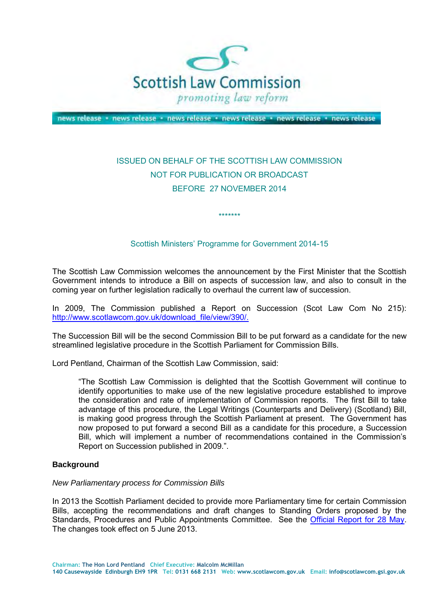

news release · news release · news release · news release · news release · news release

# ISSUED ON BEHALF OF THE SCOTTISH LAW COMMISSION NOT FOR PUBLICATION OR BROADCAST BEFORE 27 NOVEMBER 2014

### Scottish Ministers' Programme for Government 2014-15

\*\*\*\*\*\*\*

 The Scottish Law Commission welcomes the announcement by the First Minister that the Scottish Government intends to introduce a Bill on aspects of succession law, and also to consult in the coming year on further legislation radically to overhaul the current law of succession.

 In 2009, The Commission published a Report on Succession (Scot Law Com No 215): [http://www.scotlawcom.gov.uk/download\\_file/view/390/.](http://www.scotlawcom.gov.uk/download_file/view/390/)

 The Succession Bill will be the second Commission Bill to be put forward as a candidate for the new streamlined legislative procedure in the Scottish Parliament for Commission Bills.

Lord Pentland, Chairman of the Scottish Law Commission, said:

 "The Scottish Law Commission is delighted that the Scottish Government will continue to identify opportunities to make use of the new legislative procedure established to improve the consideration and rate of implementation of Commission reports. The first Bill to take advantage of this procedure, the Legal Writings (Counterparts and Delivery) (Scotland) Bill, is making good progress through the Scottish Parliament at present. The Government has now proposed to put forward a second Bill as a candidate for this procedure, a Succession Bill, which will implement a number of recommendations contained in the Commission's Report on Succession published in 2009.".

#### **Background**

#### *New Parliamentary process for Commission Bills*

 In 2013 the Scottish Parliament decided to provide more Parliamentary time for certain Commission Bills, accepting the recommendations and draft changes to Standing Orders proposed by the Standards, Procedures and Public Appointments Committee. See the *Official Report for 28 May*. The changes took effect on 5 June 2013.

**Chairman: The Hon Lord Pentland Chief Executive: Malcolm McMillan** 

 **140 Causewayside Edinburgh EH9 1PR Tel: 0131 668 2131 Web: www.scotlawcom.gov.uk Email: info@scotlawcom.gsi.gov.uk**